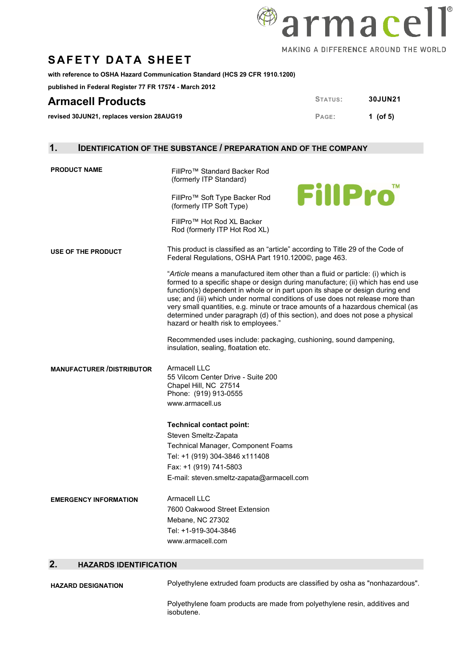

**with reference to OSHA Hazard Communication Standard (HCS 29 CFR 1910.1200)** 

**published in Federal Register 77 FR 17574 - March 2012**

## **Armacell Products STATUS:** 30JUN21

**revised 30JUN21, replaces version 28AUG19 PAGE: 1** (of 5)

### **1. IDENTIFICATION OF THE SUBSTANCE / PREPARATION AND OF THE COMPANY**

| <b>PRODUCT NAME</b>              | FillPro™ Standard Backer Rod<br>(formerly ITP Standard)<br><b>FillPro</b><br>FillPro <sup>™</sup> Soft Type Backer Rod<br>(formerly ITP Soft Type)<br>FillPro™ Hot Rod XL Backer<br>Rod (formerly ITP Hot Rod XL)                                                                                                                                                                                                                                                                                                                                                                                                                                                                                                                                                                                         |
|----------------------------------|-----------------------------------------------------------------------------------------------------------------------------------------------------------------------------------------------------------------------------------------------------------------------------------------------------------------------------------------------------------------------------------------------------------------------------------------------------------------------------------------------------------------------------------------------------------------------------------------------------------------------------------------------------------------------------------------------------------------------------------------------------------------------------------------------------------|
| <b>USE OF THE PRODUCT</b>        | This product is classified as an "article" according to Title 29 of the Code of<br>Federal Regulations, OSHA Part 1910.1200©, page 463.<br>"Article means a manufactured item other than a fluid or particle: (i) which is<br>formed to a specific shape or design during manufacture; (ii) which has end use<br>function(s) dependent in whole or in part upon its shape or design during end<br>use; and (iii) which under normal conditions of use does not release more than<br>very small quantities, e.g. minute or trace amounts of a hazardous chemical (as<br>determined under paragraph (d) of this section), and does not pose a physical<br>hazard or health risk to employees."<br>Recommended uses include: packaging, cushioning, sound dampening,<br>insulation, sealing, floatation etc. |
| <b>MANUFACTURER /DISTRIBUTOR</b> | Armacell LLC<br>55 Vilcom Center Drive - Suite 200<br>Chapel Hill, NC 27514<br>Phone: (919) 913-0555<br>www.armacell.us<br><b>Technical contact point:</b><br>Steven Smeltz-Zapata<br>Technical Manager, Component Foams<br>Tel: +1 (919) 304-3846 x111408<br>Fax: +1 (919) 741-5803<br>E-mail: steven.smeltz-zapata@armacell.com                                                                                                                                                                                                                                                                                                                                                                                                                                                                         |
| <b>EMERGENCY INFORMATION</b>     | Armacell LLC<br>7600 Oakwood Street Extension<br>Mebane, NC 27302<br>Tel: +1-919-304-3846<br>www.armacell.com                                                                                                                                                                                                                                                                                                                                                                                                                                                                                                                                                                                                                                                                                             |

#### **2. HAZARDS IDENTIFICATION**

| <b>HAZARD DESIGNATION</b> | Polyethylene extruded foam products are classified by osha as "nonhazardous".            |
|---------------------------|------------------------------------------------------------------------------------------|
|                           | Polyethylene foam products are made from polyethylene resin, additives and<br>isobutene. |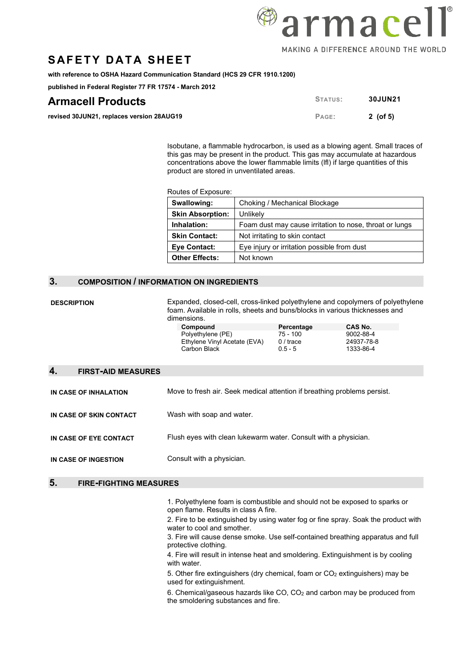**with reference to OSHA Hazard Communication Standard (HCS 29 CFR 1910.1200)** 

**published in Federal Register 77 FR 17574 - March 2012**

| <b>Armacell Products</b>                  | STATUS: | <b>30JUN21</b> |
|-------------------------------------------|---------|----------------|
| revised 30JUN21, replaces version 28AUG19 | PAGE:   | 2 (of 5)       |

Isobutane, a flammable hydrocarbon, is used as a blowing agent. Small traces of this gas may be present in the product. This gas may accumulate at hazardous concentrations above the lower flammable limits (lfl) if large quantities of this product are stored in unventilated areas.

Routes of Exposure:

| Swallowing:             | Choking / Mechanical Blockage                           |
|-------------------------|---------------------------------------------------------|
| <b>Skin Absorption:</b> | Unlikely                                                |
| Inhalation:             | Foam dust may cause irritation to nose, throat or lungs |
| <b>Skin Contact:</b>    | Not irritating to skin contact                          |
| Eye Contact:            | Eye injury or irritation possible from dust             |
| <b>Other Effects:</b>   | Not known                                               |

#### **3. COMPOSITION / INFORMATION ON INGREDIENTS**

**DESCRIPTION** Expanded, closed-cell, cross-linked polyethylene and copolymers of polyethylene foam. Available in rolls, sheets and buns/blocks in various thicknesses and dimensions.

| טווטוטווט.                   |            |            |
|------------------------------|------------|------------|
| Compound                     | Percentage | CAS No.    |
| Polyethylene (PE)            | 75 - 100   | 9002-88-4  |
| Ethylene Vinyl Acetate (EVA) | $0/$ trace | 24937-78-8 |
| Carbon Black                 | $0.5 - 5$  | 1333-86-4  |

| ge | CAS No.   |
|----|-----------|
|    | 9002-88-4 |
|    | 24937-78- |
|    | 1000000   |

#### **4. FIRST-AID MEASURES**

**IN CASE OF INHALATION** Move to fresh air. Seek medical attention if breathing problems persist.

**IN CASE OF SKIN CONTACT** Wash with soap and water.

**IN CASE OF EYE CONTACT** Flush eyes with clean lukewarm water. Consult with a physician.

**IN CASE OF INGESTION** Consult with a physician.

#### **5. FIRE-FIGHTING MEASURES**

1. Polyethylene foam is combustible and should not be exposed to sparks or open flame. Results in class A fire.

2. Fire to be extinguished by using water fog or fine spray. Soak the product with water to cool and smother.

3. Fire will cause dense smoke. Use self-contained breathing apparatus and full protective clothing.

4. Fire will result in intense heat and smoldering. Extinguishment is by cooling with water.

5. Other fire extinguishers (dry chemical, foam or  $CO<sub>2</sub>$  extinguishers) may be used for extinguishment.

6. Chemical/gaseous hazards like CO, CO2 and carbon may be produced from the smoldering substances and fire.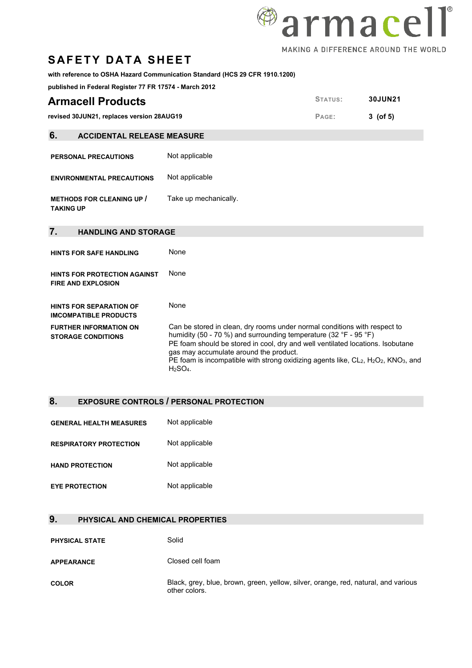# <sup>@</sup>armacell MAKING A DIFFERENCE AROUND THE WORLD

## **SAFETY DATA SHEET**

#### **with reference to OSHA Hazard Communication Standard (HCS 29 CFR 1910.1200)**

**published in Federal Register 77 FR 17574 - March 2012**

| <b>Armacell Products</b>                             |                       | STATUS: | 30JUN21    |
|------------------------------------------------------|-----------------------|---------|------------|
| revised 30JUN21, replaces version 28AUG19            |                       | PAGE:   | $3$ (of 5) |
| 6.<br><b>ACCIDENTAL RELEASE MEASURE</b>              |                       |         |            |
| <b>PERSONAL PRECAUTIONS</b>                          | Not applicable        |         |            |
| <b>ENVIRONMENTAL PRECAUTIONS</b>                     | Not applicable        |         |            |
| <b>METHODS FOR CLEANING UP /</b><br><b>TAKING UP</b> | Take up mechanically. |         |            |

#### **7. HANDLING AND STORAGE**

**HINTS FOR SAFE HANDLING None HINTS FOR PROTECTION AGAINST FIRE AND EXPLOSION** None **HINTS FOR SEPARATION OF IMCOMPATIBLE PRODUCTS** None **FURTHER INFORMATION ON STORAGE CONDITIONS** Can be stored in clean, dry rooms under normal conditions with respect to humidity (50 - 70 %) and surrounding temperature (32 °F - 95 °F) PE foam should be stored in cool, dry and well ventilated locations. Isobutane gas may accumulate around the product. PE foam is incompatible with strong oxidizing agents like, CL<sub>2</sub>, H<sub>2</sub>O<sub>2</sub>, KNO<sub>3</sub>, and H2SO4.

#### **8. EXPOSURE CONTROLS / PERSONAL PROTECTION**

| <b>GENERAL HEALTH MEASURES</b> | Not applicable |
|--------------------------------|----------------|
| <b>RESPIRATORY PROTECTION</b>  | Not applicable |
| <b>HAND PROTECTION</b>         | Not applicable |
| <b>EYE PROTECTION</b>          | Not applicable |

#### **9. PHYSICAL AND CHEMICAL PROPERTIES**

| <b>PHYSICAL STATE</b> | Solid                                                                                               |
|-----------------------|-----------------------------------------------------------------------------------------------------|
| <b>APPEARANCE</b>     | Closed cell foam                                                                                    |
| <b>COLOR</b>          | Black, grey, blue, brown, green, yellow, silver, orange, red, natural, and various<br>other colors. |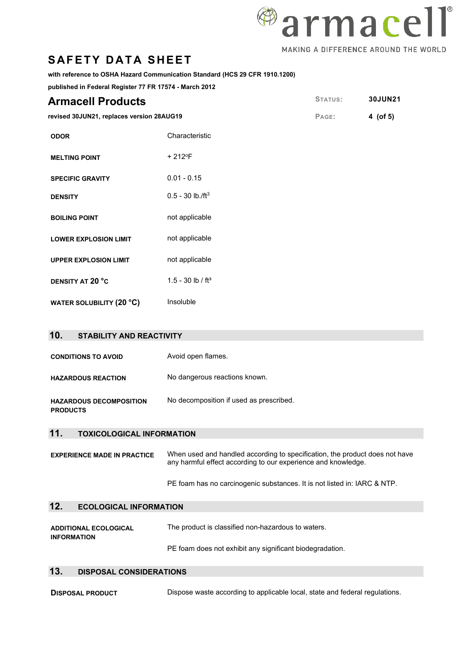

#### **with reference to OSHA Hazard Communication Standard (HCS 29 CFR 1910.1200)**

**published in Federal Register 77 FR 17574 - March 2012**

| <b>Armacell Products</b>                  |                                | STATUS: | 30JUN21  |
|-------------------------------------------|--------------------------------|---------|----------|
| revised 30JUN21, replaces version 28AUG19 |                                | PAGE:   | 4 (of 5) |
| <b>ODOR</b>                               | Characteristic                 |         |          |
| <b>MELTING POINT</b>                      | + 212°F                        |         |          |
| <b>SPECIFIC GRAVITY</b>                   | $0.01 - 0.15$                  |         |          |
| <b>DENSITY</b>                            | $0.5 - 30$ lb./ft <sup>3</sup> |         |          |
| <b>BOILING POINT</b>                      | not applicable                 |         |          |
| <b>LOWER EXPLOSION LIMIT</b>              | not applicable                 |         |          |
| <b>UPPER EXPLOSION LIMIT</b>              | not applicable                 |         |          |
| DENSITY AT 20 °C                          | 1.5 - 30 lb / $ft^3$           |         |          |
| <b>WATER SOLUBILITY (20 °C)</b>           | Insoluble                      |         |          |

| 10.<br><b>STABILITY AND REACTIVITY</b>            |                                         |
|---------------------------------------------------|-----------------------------------------|
| <b>CONDITIONS TO AVOID</b>                        | Avoid open flames.                      |
| <b>HAZARDOUS REACTION</b>                         | No dangerous reactions known.           |
| <b>HAZARDOUS DECOMPOSITION</b><br><b>PRODUCTS</b> | No decomposition if used as prescribed. |
| 11<br><b>TOXICOLOGICAL INFORMATION</b>            |                                         |

**EXPERIENCE MADE IN PRACTICE** When used and handled according to specification, the product does not have any harmful effect according to our experience and knowledge.

PE foam has no carcinogenic substances. It is not listed in: IARC & NTP.

#### **12. ECOLOGICAL INFORMATION**

| <b>ADDITIONAL ECOLOGICAL</b> | The product is classified non-hazardous to waters.       |
|------------------------------|----------------------------------------------------------|
| <b>INFORMATION</b>           |                                                          |
|                              | PE foam does not exhibit any significant biodegradation. |

### **13. DISPOSAL CONSIDERATIONS**

**DISPOSAL PRODUCT** Dispose waste according to applicable local, state and federal regulations.